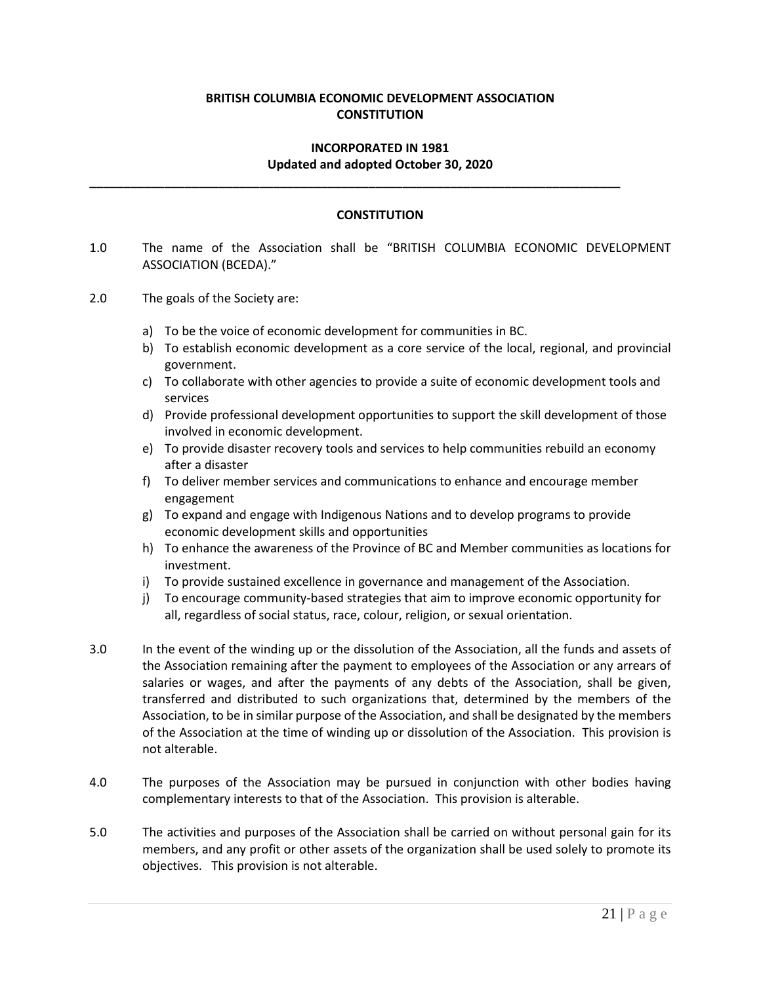# **BRITISH COLUMBIA ECONOMIC DEVELOPMENT ASSOCIATION CONSTITUTION**

#### **INCORPORATED IN 1981 Updated and adopted October 30, 2020**

**\_\_\_\_\_\_\_\_\_\_\_\_\_\_\_\_\_\_\_\_\_\_\_\_\_\_\_\_\_\_\_\_\_\_\_\_\_\_\_\_\_\_\_\_\_\_\_\_\_\_\_\_\_\_\_\_\_\_\_\_\_\_\_\_\_\_\_\_\_\_\_\_\_\_\_\_\_\_**

#### **CONSTITUTION**

- 1.0 The name of the Association shall be "BRITISH COLUMBIA ECONOMIC DEVELOPMENT ASSOCIATION (BCEDA)."
- 2.0 The goals of the Society are:
	- a) To be the voice of economic development for communities in BC.
	- b) To establish economic development as a core service of the local, regional, and provincial government.
	- c) To collaborate with other agencies to provide a suite of economic development tools and services
	- d) Provide professional development opportunities to support the skill development of those involved in economic development.
	- e) To provide disaster recovery tools and services to help communities rebuild an economy after a disaster
	- f) To deliver member services and communications to enhance and encourage member engagement
	- g) To expand and engage with Indigenous Nations and to develop programs to provide economic development skills and opportunities
	- h) To enhance the awareness of the Province of BC and Member communities as locations for investment.
	- i) To provide sustained excellence in governance and management of the Association.
	- j) To encourage community-based strategies that aim to improve economic opportunity for all, regardless of social status, race, colour, religion, or sexual orientation.
- 3.0 In the event of the winding up or the dissolution of the Association, all the funds and assets of the Association remaining after the payment to employees of the Association or any arrears of salaries or wages, and after the payments of any debts of the Association, shall be given, transferred and distributed to such organizations that, determined by the members of the Association, to be in similar purpose of the Association, and shall be designated by the members of the Association at the time of winding up or dissolution of the Association. This provision is not alterable.
- 4.0 The purposes of the Association may be pursued in conjunction with other bodies having complementary interests to that of the Association. This provision is alterable.
- 5.0 The activities and purposes of the Association shall be carried on without personal gain for its members, and any profit or other assets of the organization shall be used solely to promote its objectives. This provision is not alterable.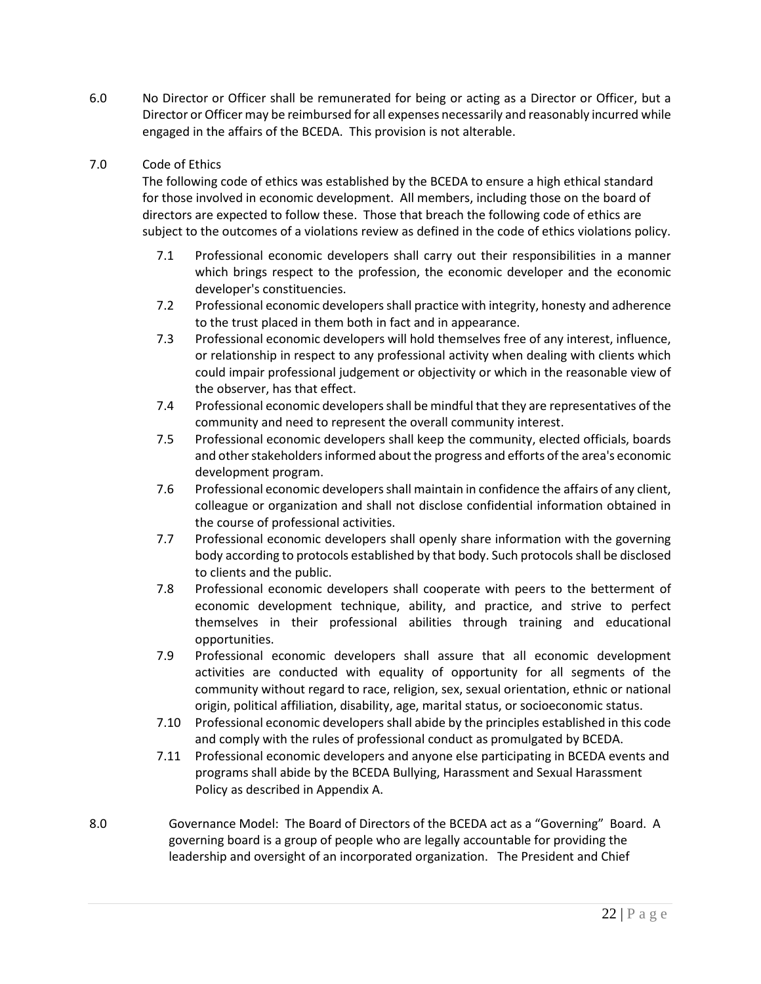6.0 No Director or Officer shall be remunerated for being or acting as a Director or Officer, but a Director or Officer may be reimbursed for all expenses necessarily and reasonably incurred while engaged in the affairs of the BCEDA. This provision is not alterable.

## 7.0 Code of Ethics

The following code of ethics was established by the BCEDA to ensure a high ethical standard for those involved in economic development. All members, including those on the board of directors are expected to follow these. Those that breach the following code of ethics are subject to the outcomes of a violations review as defined in the code of ethics violations policy.

- 7.1 Professional economic developers shall carry out their responsibilities in a manner which brings respect to the profession, the economic developer and the economic developer's constituencies.
- 7.2 Professional economic developers shall practice with integrity, honesty and adherence to the trust placed in them both in fact and in appearance.
- 7.3 Professional economic developers will hold themselves free of any interest, influence, or relationship in respect to any professional activity when dealing with clients which could impair professional judgement or objectivity or which in the reasonable view of the observer, has that effect.
- 7.4 Professional economic developers shall be mindful that they are representatives of the community and need to represent the overall community interest.
- 7.5 Professional economic developers shall keep the community, elected officials, boards and other stakeholders informed about the progress and efforts of the area's economic development program.
- 7.6 Professional economic developers shall maintain in confidence the affairs of any client, colleague or organization and shall not disclose confidential information obtained in the course of professional activities.
- 7.7 Professional economic developers shall openly share information with the governing body according to protocols established by that body. Such protocols shall be disclosed to clients and the public.
- 7.8 Professional economic developers shall cooperate with peers to the betterment of economic development technique, ability, and practice, and strive to perfect themselves in their professional abilities through training and educational opportunities.
- 7.9 Professional economic developers shall assure that all economic development activities are conducted with equality of opportunity for all segments of the community without regard to race, religion, sex, sexual orientation, ethnic or national origin, political affiliation, disability, age, marital status, or socioeconomic status.
- 7.10 Professional economic developers shall abide by the principles established in this code and comply with the rules of professional conduct as promulgated by BCEDA.
- 7.11 Professional economic developers and anyone else participating in BCEDA events and programs shall abide by the BCEDA Bullying, Harassment and Sexual Harassment Policy as described in Appendix A.
- 8.0 Governance Model: The Board of Directors of the BCEDA act as a "Governing" Board. A governing board is a group of people who are legally accountable for providing the leadership and oversight of an incorporated organization. The President and Chief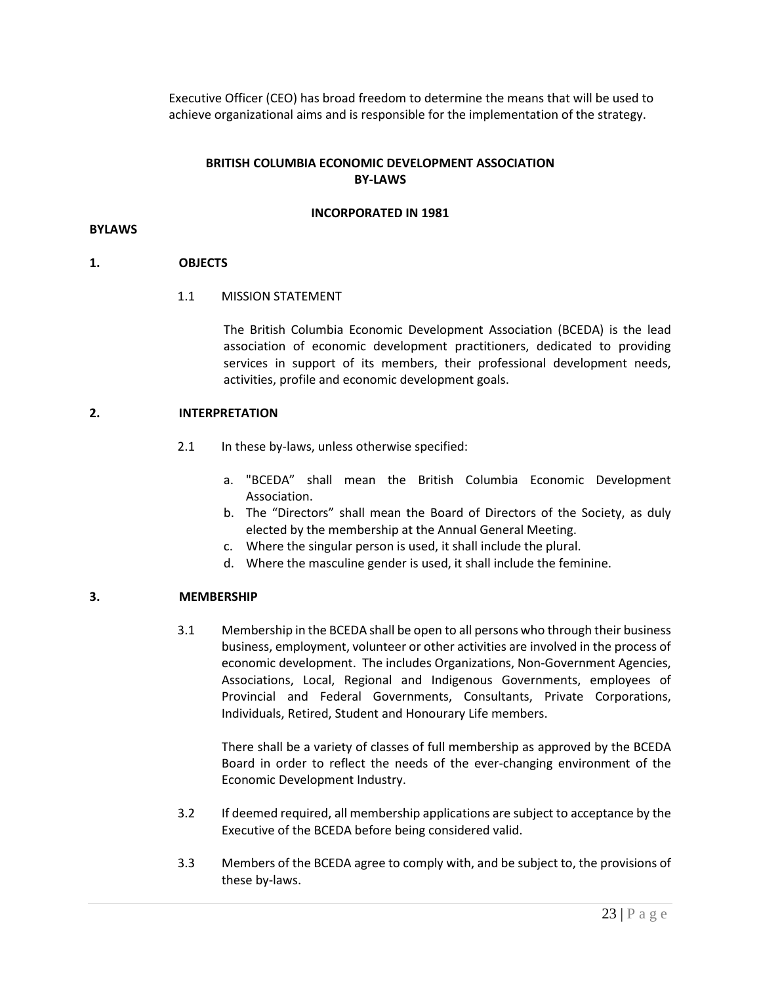Executive Officer (CEO) has broad freedom to determine the means that will be used to achieve organizational aims and is responsible for the implementation of the strategy.

## **BRITISH COLUMBIA ECONOMIC DEVELOPMENT ASSOCIATION BY-LAWS**

#### **INCORPORATED IN 1981**

#### **BYLAWS**

## **1. OBJECTS**

## 1.1 MISSION STATEMENT

The British Columbia Economic Development Association (BCEDA) is the lead association of economic development practitioners, dedicated to providing services in support of its members, their professional development needs, activities, profile and economic development goals.

# **2. INTERPRETATION**

- 2.1 In these by-laws, unless otherwise specified:
	- a. "BCEDA" shall mean the British Columbia Economic Development Association.
	- b. The "Directors" shall mean the Board of Directors of the Society, as duly elected by the membership at the Annual General Meeting.
	- c. Where the singular person is used, it shall include the plural.
	- d. Where the masculine gender is used, it shall include the feminine.

## **3. MEMBERSHIP**

3.1 Membership in the BCEDA shall be open to all persons who through their business business, employment, volunteer or other activities are involved in the process of economic development. The includes Organizations, Non-Government Agencies, Associations, Local, Regional and Indigenous Governments, employees of Provincial and Federal Governments, Consultants, Private Corporations, Individuals, Retired, Student and Honourary Life members.

There shall be a variety of classes of full membership as approved by the BCEDA Board in order to reflect the needs of the ever-changing environment of the Economic Development Industry.

- 3.2 If deemed required, all membership applications are subject to acceptance by the Executive of the BCEDA before being considered valid.
- 3.3 Members of the BCEDA agree to comply with, and be subject to, the provisions of these by-laws.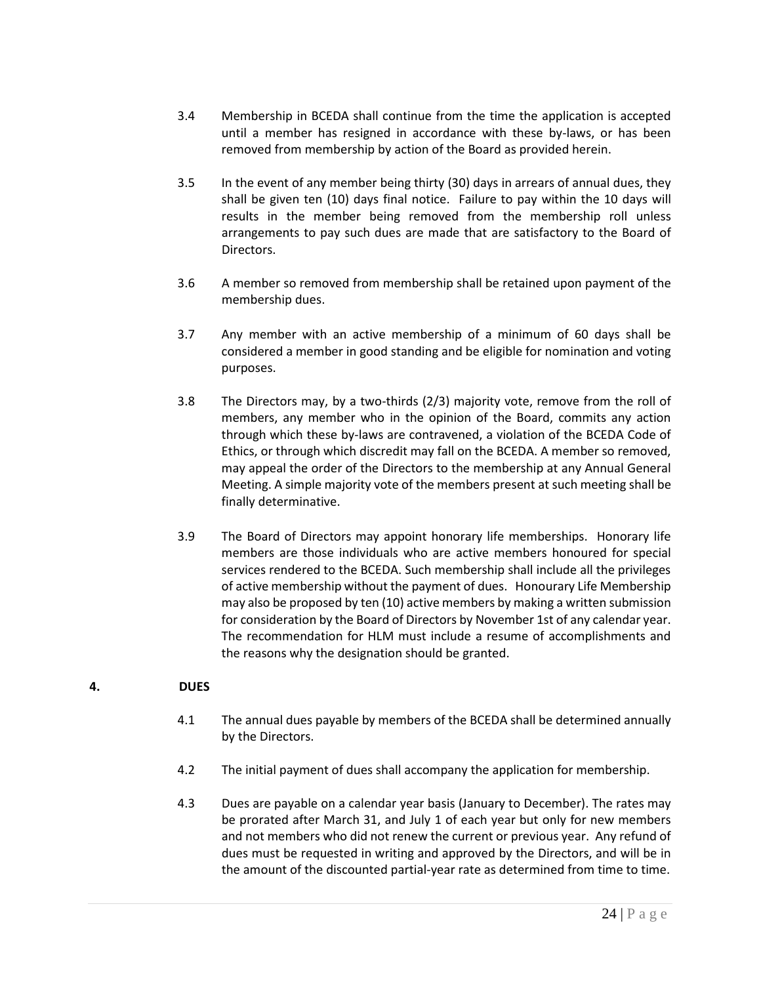- 3.4 Membership in BCEDA shall continue from the time the application is accepted until a member has resigned in accordance with these by-laws, or has been removed from membership by action of the Board as provided herein.
- 3.5 In the event of any member being thirty (30) days in arrears of annual dues, they shall be given ten (10) days final notice. Failure to pay within the 10 days will results in the member being removed from the membership roll unless arrangements to pay such dues are made that are satisfactory to the Board of Directors.
- 3.6 A member so removed from membership shall be retained upon payment of the membership dues.
- 3.7 Any member with an active membership of a minimum of 60 days shall be considered a member in good standing and be eligible for nomination and voting purposes.
- 3.8 The Directors may, by a two-thirds (2/3) majority vote, remove from the roll of members, any member who in the opinion of the Board, commits any action through which these by-laws are contravened, a violation of the BCEDA Code of Ethics, or through which discredit may fall on the BCEDA. A member so removed, may appeal the order of the Directors to the membership at any Annual General Meeting. A simple majority vote of the members present at such meeting shall be finally determinative.
- 3.9 The Board of Directors may appoint honorary life memberships. Honorary life members are those individuals who are active members honoured for special services rendered to the BCEDA. Such membership shall include all the privileges of active membership without the payment of dues. Honourary Life Membership may also be proposed by ten (10) active members by making a written submission for consideration by the Board of Directors by November 1st of any calendar year. The recommendation for HLM must include a resume of accomplishments and the reasons why the designation should be granted.

# **4. DUES**

- 4.1 The annual dues payable by members of the BCEDA shall be determined annually by the Directors.
- 4.2 The initial payment of dues shall accompany the application for membership.
- 4.3 Dues are payable on a calendar year basis (January to December). The rates may be prorated after March 31, and July 1 of each year but only for new members and not members who did not renew the current or previous year. Any refund of dues must be requested in writing and approved by the Directors, and will be in the amount of the discounted partial-year rate as determined from time to time.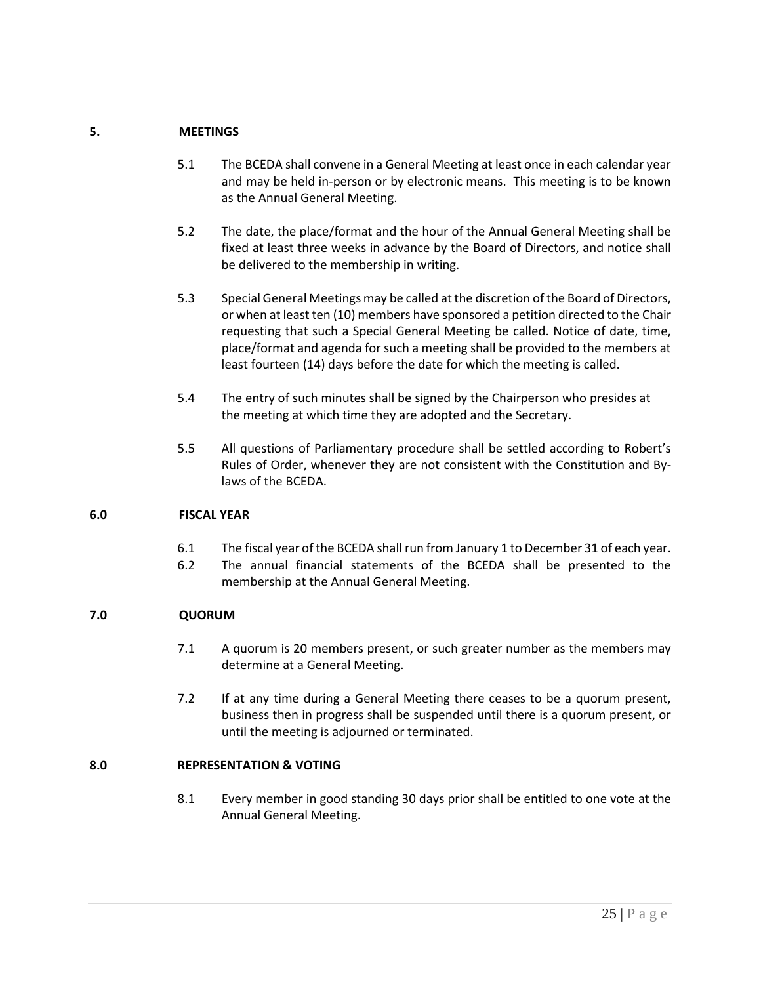# **5. MEETINGS**

- 5.1 The BCEDA shall convene in a General Meeting at least once in each calendar year and may be held in-person or by electronic means. This meeting is to be known as the Annual General Meeting.
- 5.2 The date, the place/format and the hour of the Annual General Meeting shall be fixed at least three weeks in advance by the Board of Directors, and notice shall be delivered to the membership in writing.
- 5.3 Special General Meetings may be called at the discretion of the Board of Directors, or when at least ten (10) members have sponsored a petition directed to the Chair requesting that such a Special General Meeting be called. Notice of date, time, place/format and agenda for such a meeting shall be provided to the members at least fourteen (14) days before the date for which the meeting is called.
- 5.4 The entry of such minutes shall be signed by the Chairperson who presides at the meeting at which time they are adopted and the Secretary.
- 5.5 All questions of Parliamentary procedure shall be settled according to Robert's Rules of Order, whenever they are not consistent with the Constitution and Bylaws of the BCEDA.

## **6.0 FISCAL YEAR**

- 6.1 The fiscal year of the BCEDA shall run from January 1 to December 31 of each year.
- 6.2 The annual financial statements of the BCEDA shall be presented to the membership at the Annual General Meeting.

# **7.0 QUORUM**

- 7.1 A quorum is 20 members present, or such greater number as the members may determine at a General Meeting.
- 7.2 If at any time during a General Meeting there ceases to be a quorum present, business then in progress shall be suspended until there is a quorum present, or until the meeting is adjourned or terminated.

# **8.0 REPRESENTATION & VOTING**

8.1 Every member in good standing 30 days prior shall be entitled to one vote at the Annual General Meeting.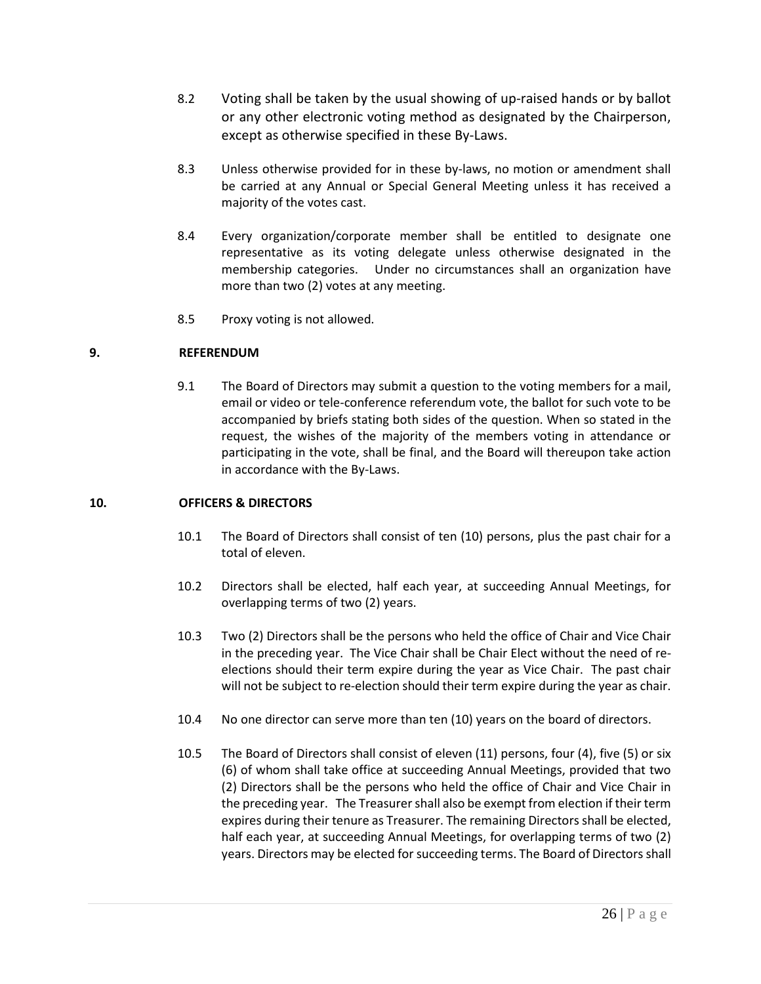- 8.2 Voting shall be taken by the usual showing of up-raised hands or by ballot or any other electronic voting method as designated by the Chairperson, except as otherwise specified in these By-Laws.
- 8.3 Unless otherwise provided for in these by-laws, no motion or amendment shall be carried at any Annual or Special General Meeting unless it has received a majority of the votes cast.
- 8.4 Every organization/corporate member shall be entitled to designate one representative as its voting delegate unless otherwise designated in the membership categories. Under no circumstances shall an organization have more than two (2) votes at any meeting.
- 8.5 Proxy voting is not allowed.

# **9. REFERENDUM**

9.1 The Board of Directors may submit a question to the voting members for a mail, email or video or tele-conference referendum vote, the ballot for such vote to be accompanied by briefs stating both sides of the question. When so stated in the request, the wishes of the majority of the members voting in attendance or participating in the vote, shall be final, and the Board will thereupon take action in accordance with the By-Laws.

## **10. OFFICERS & DIRECTORS**

- 10.1 The Board of Directors shall consist of ten (10) persons, plus the past chair for a total of eleven.
- 10.2 Directors shall be elected, half each year, at succeeding Annual Meetings, for overlapping terms of two (2) years.
- 10.3 Two (2) Directors shall be the persons who held the office of Chair and Vice Chair in the preceding year. The Vice Chair shall be Chair Elect without the need of reelections should their term expire during the year as Vice Chair. The past chair will not be subject to re-election should their term expire during the year as chair.
- 10.4 No one director can serve more than ten (10) years on the board of directors.
- 10.5 The Board of Directors shall consist of eleven (11) persons, four (4), five (5) or six (6) of whom shall take office at succeeding Annual Meetings, provided that two (2) Directors shall be the persons who held the office of Chair and Vice Chair in the preceding year. The Treasurer shall also be exempt from election if their term expires during their tenure as Treasurer. The remaining Directors shall be elected, half each year, at succeeding Annual Meetings, for overlapping terms of two (2) years. Directors may be elected for succeeding terms. The Board of Directors shall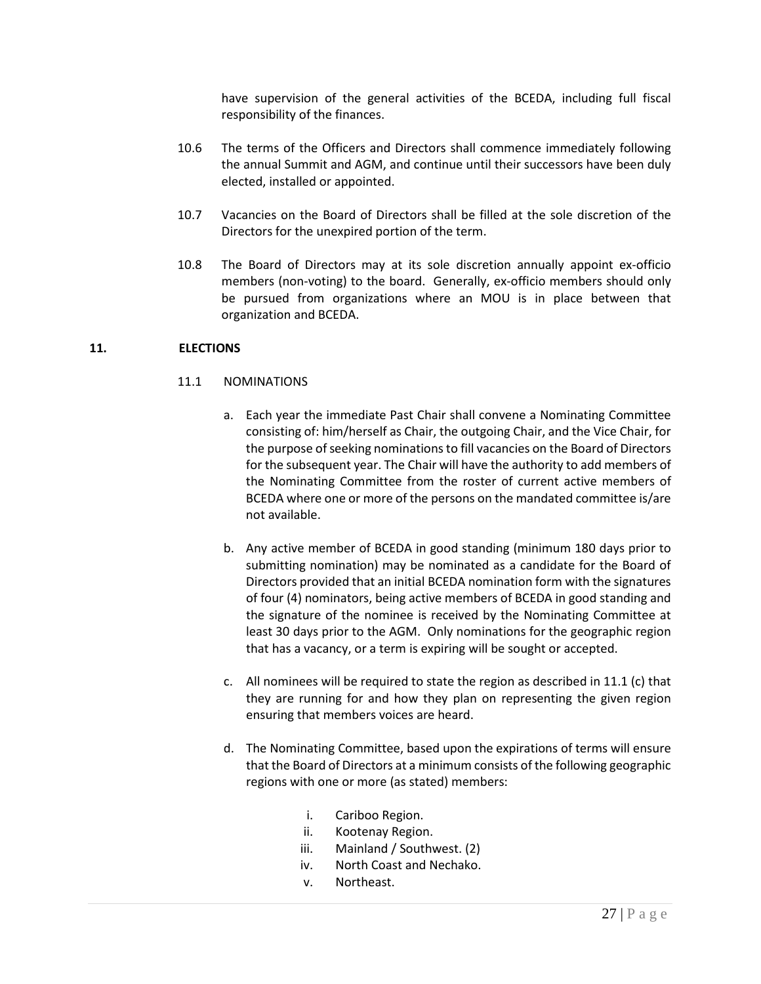have supervision of the general activities of the BCEDA, including full fiscal responsibility of the finances.

- 10.6 The terms of the Officers and Directors shall commence immediately following the annual Summit and AGM, and continue until their successors have been duly elected, installed or appointed.
- 10.7 Vacancies on the Board of Directors shall be filled at the sole discretion of the Directors for the unexpired portion of the term.
- 10.8 The Board of Directors may at its sole discretion annually appoint ex-officio members (non-voting) to the board. Generally, ex-officio members should only be pursued from organizations where an MOU is in place between that organization and BCEDA.

# **11. ELECTIONS**

- 11.1 NOMINATIONS
	- a. Each year the immediate Past Chair shall convene a Nominating Committee consisting of: him/herself as Chair, the outgoing Chair, and the Vice Chair, for the purpose of seeking nominations to fill vacancies on the Board of Directors for the subsequent year. The Chair will have the authority to add members of the Nominating Committee from the roster of current active members of BCEDA where one or more of the persons on the mandated committee is/are not available.
	- b. Any active member of BCEDA in good standing (minimum 180 days prior to submitting nomination) may be nominated as a candidate for the Board of Directors provided that an initial BCEDA nomination form with the signatures of four (4) nominators, being active members of BCEDA in good standing and the signature of the nominee is received by the Nominating Committee at least 30 days prior to the AGM. Only nominations for the geographic region that has a vacancy, or a term is expiring will be sought or accepted.
	- c. All nominees will be required to state the region as described in 11.1 (c) that they are running for and how they plan on representing the given region ensuring that members voices are heard.
	- d. The Nominating Committee, based upon the expirations of terms will ensure that the Board of Directors at a minimum consists of the following geographic regions with one or more (as stated) members:
		- i. Cariboo Region.
		- ii. Kootenay Region.
		- iii. Mainland / Southwest. (2)
		- iv. North Coast and Nechako.
		- v. Northeast.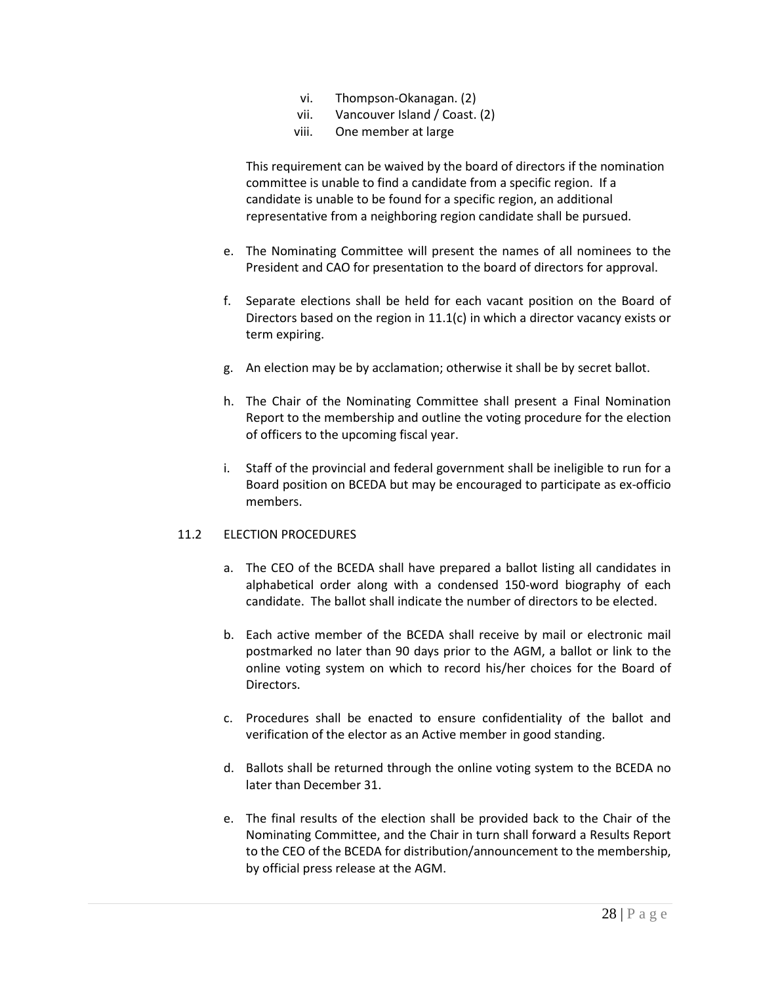- vi. Thompson-Okanagan. (2)
- vii. Vancouver Island / Coast. (2)
- viii. One member at large

This requirement can be waived by the board of directors if the nomination committee is unable to find a candidate from a specific region. If a candidate is unable to be found for a specific region, an additional representative from a neighboring region candidate shall be pursued.

- e. The Nominating Committee will present the names of all nominees to the President and CAO for presentation to the board of directors for approval.
- f. Separate elections shall be held for each vacant position on the Board of Directors based on the region in 11.1(c) in which a director vacancy exists or term expiring.
- g. An election may be by acclamation; otherwise it shall be by secret ballot.
- h. The Chair of the Nominating Committee shall present a Final Nomination Report to the membership and outline the voting procedure for the election of officers to the upcoming fiscal year.
- i. Staff of the provincial and federal government shall be ineligible to run for a Board position on BCEDA but may be encouraged to participate as ex-officio members.

## 11.2 ELECTION PROCEDURES

- a. The CEO of the BCEDA shall have prepared a ballot listing all candidates in alphabetical order along with a condensed 150-word biography of each candidate. The ballot shall indicate the number of directors to be elected.
- b. Each active member of the BCEDA shall receive by mail or electronic mail postmarked no later than 90 days prior to the AGM, a ballot or link to the online voting system on which to record his/her choices for the Board of Directors.
- c. Procedures shall be enacted to ensure confidentiality of the ballot and verification of the elector as an Active member in good standing.
- d. Ballots shall be returned through the online voting system to the BCEDA no later than December 31.
- e. The final results of the election shall be provided back to the Chair of the Nominating Committee, and the Chair in turn shall forward a Results Report to the CEO of the BCEDA for distribution/announcement to the membership, by official press release at the AGM.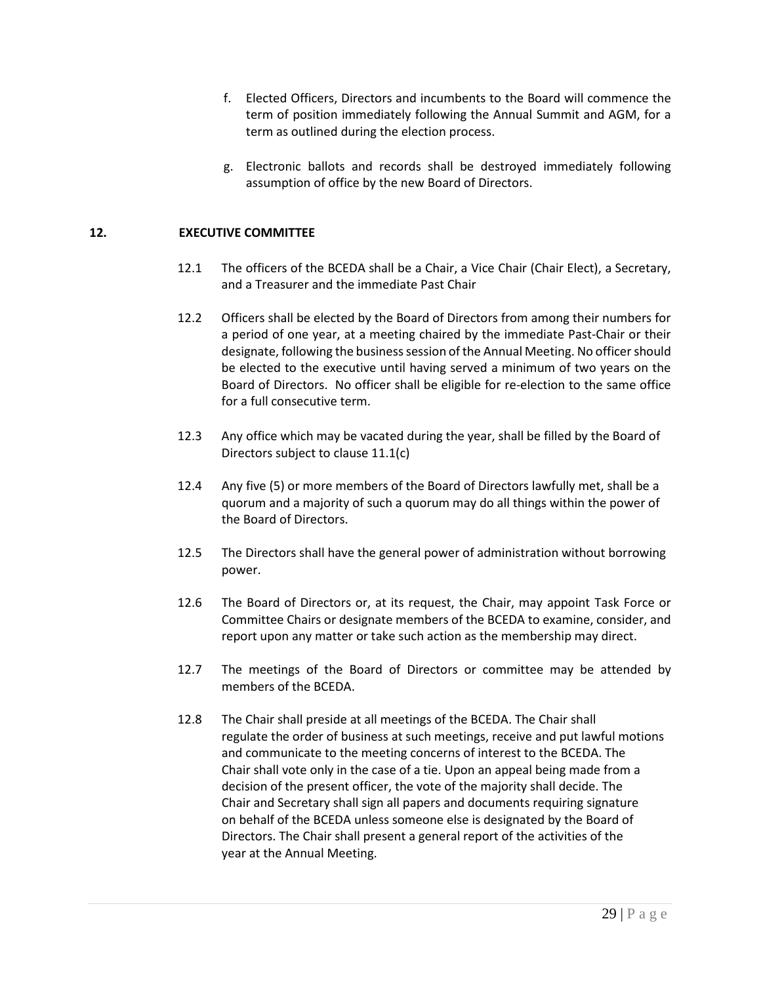- f. Elected Officers, Directors and incumbents to the Board will commence the term of position immediately following the Annual Summit and AGM, for a term as outlined during the election process.
- g. Electronic ballots and records shall be destroyed immediately following assumption of office by the new Board of Directors.

# **12. EXECUTIVE COMMITTEE**

- 12.1 The officers of the BCEDA shall be a Chair, a Vice Chair (Chair Elect), a Secretary, and a Treasurer and the immediate Past Chair
- 12.2 Officers shall be elected by the Board of Directors from among their numbers for a period of one year, at a meeting chaired by the immediate Past-Chair or their designate, following the business session of the Annual Meeting. No officer should be elected to the executive until having served a minimum of two years on the Board of Directors. No officer shall be eligible for re-election to the same office for a full consecutive term.
- 12.3 Any office which may be vacated during the year, shall be filled by the Board of Directors subject to clause 11.1(c)
- 12.4 Any five (5) or more members of the Board of Directors lawfully met, shall be a quorum and a majority of such a quorum may do all things within the power of the Board of Directors.
- 12.5 The Directors shall have the general power of administration without borrowing power.
- 12.6 The Board of Directors or, at its request, the Chair, may appoint Task Force or Committee Chairs or designate members of the BCEDA to examine, consider, and report upon any matter or take such action as the membership may direct.
- 12.7 The meetings of the Board of Directors or committee may be attended by members of the BCEDA.
- 12.8 The Chair shall preside at all meetings of the BCEDA. The Chair shall regulate the order of business at such meetings, receive and put lawful motions and communicate to the meeting concerns of interest to the BCEDA. The Chair shall vote only in the case of a tie. Upon an appeal being made from a decision of the present officer, the vote of the majority shall decide. The Chair and Secretary shall sign all papers and documents requiring signature on behalf of the BCEDA unless someone else is designated by the Board of Directors. The Chair shall present a general report of the activities of the year at the Annual Meeting.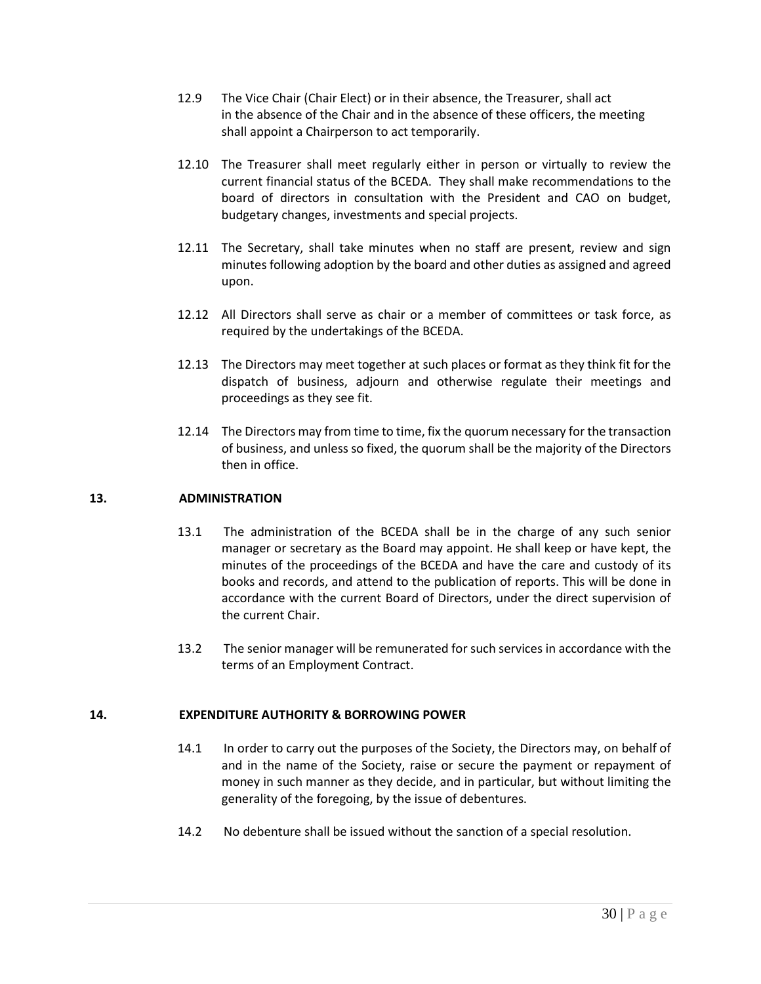- 12.9 The Vice Chair (Chair Elect) or in their absence, the Treasurer, shall act in the absence of the Chair and in the absence of these officers, the meeting shall appoint a Chairperson to act temporarily.
- 12.10 The Treasurer shall meet regularly either in person or virtually to review the current financial status of the BCEDA. They shall make recommendations to the board of directors in consultation with the President and CAO on budget, budgetary changes, investments and special projects.
- 12.11 The Secretary, shall take minutes when no staff are present, review and sign minutes following adoption by the board and other duties as assigned and agreed upon.
- 12.12 All Directors shall serve as chair or a member of committees or task force, as required by the undertakings of the BCEDA.
- 12.13 The Directors may meet together at such places or format as they think fit for the dispatch of business, adjourn and otherwise regulate their meetings and proceedings as they see fit.
- 12.14 The Directors may from time to time, fix the quorum necessary for the transaction of business, and unless so fixed, the quorum shall be the majority of the Directors then in office.

## **13. ADMINISTRATION**

- 13.1 The administration of the BCEDA shall be in the charge of any such senior manager or secretary as the Board may appoint. He shall keep or have kept, the minutes of the proceedings of the BCEDA and have the care and custody of its books and records, and attend to the publication of reports. This will be done in accordance with the current Board of Directors, under the direct supervision of the current Chair.
- 13.2 The senior manager will be remunerated for such services in accordance with the terms of an Employment Contract.

## **14. EXPENDITURE AUTHORITY & BORROWING POWER**

- 14.1 In order to carry out the purposes of the Society, the Directors may, on behalf of and in the name of the Society, raise or secure the payment or repayment of money in such manner as they decide, and in particular, but without limiting the generality of the foregoing, by the issue of debentures.
- 14.2 No debenture shall be issued without the sanction of a special resolution.